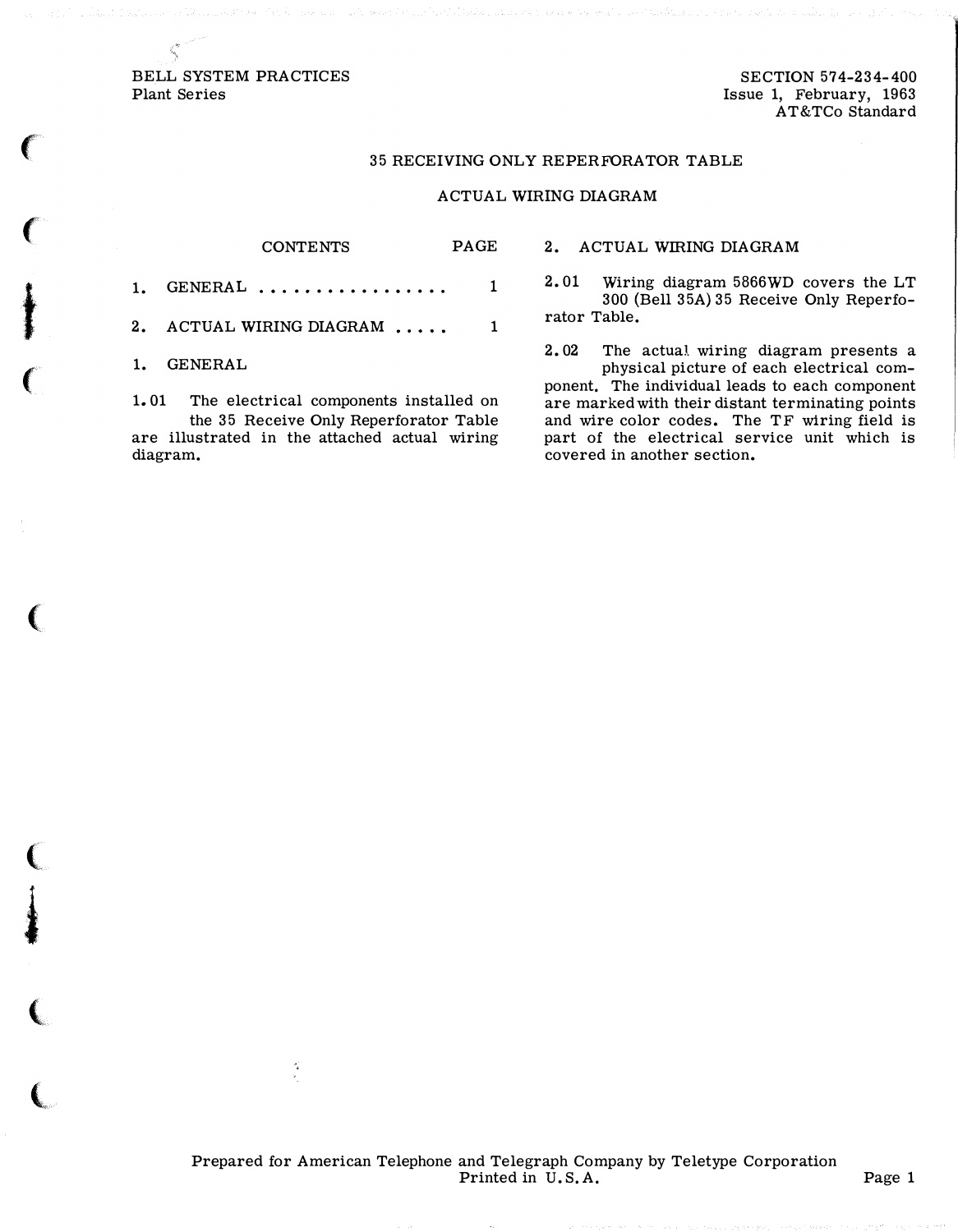BELL SYSTEM PRACTICES Plant Series

',,\

 $\big($ 

 $\epsilon$ 

t

 $\epsilon$ 

(

(

i

(

 $\big($ 

SECTION 574-234-400 Issue 1, February, 1963 AT&TCo Standard

## 35 RECEIVING ONLY REPERFORATOR TABLE

## ACTUAL WIRING DIAGRAM

| $1.$ GENERAL                | 1 |
|-----------------------------|---|
| 2. ACTUAL WIRING DIAGRAM  1 |   |
| 1. GENERAL                  |   |

CONTENTS PAGE

1. 01 The electrical components installed on the 35 Receive Only Reperforator Table are illustrated in the attached actual wiring diagram.

',

2. ACTUAL WIRING DIAGRAM

2. 01 Wiring diagram 5866WD covers the LT 300 (Bell 35A) 35 Receive Only Reperforator Table.

2. 02 The actual wiring diagram presents a physical picture of each electrical component. The individual leads to each component are marked with their distant terminating points and wire color codes. The TF wiring field is part of the electrical service unit which is covered in another section.